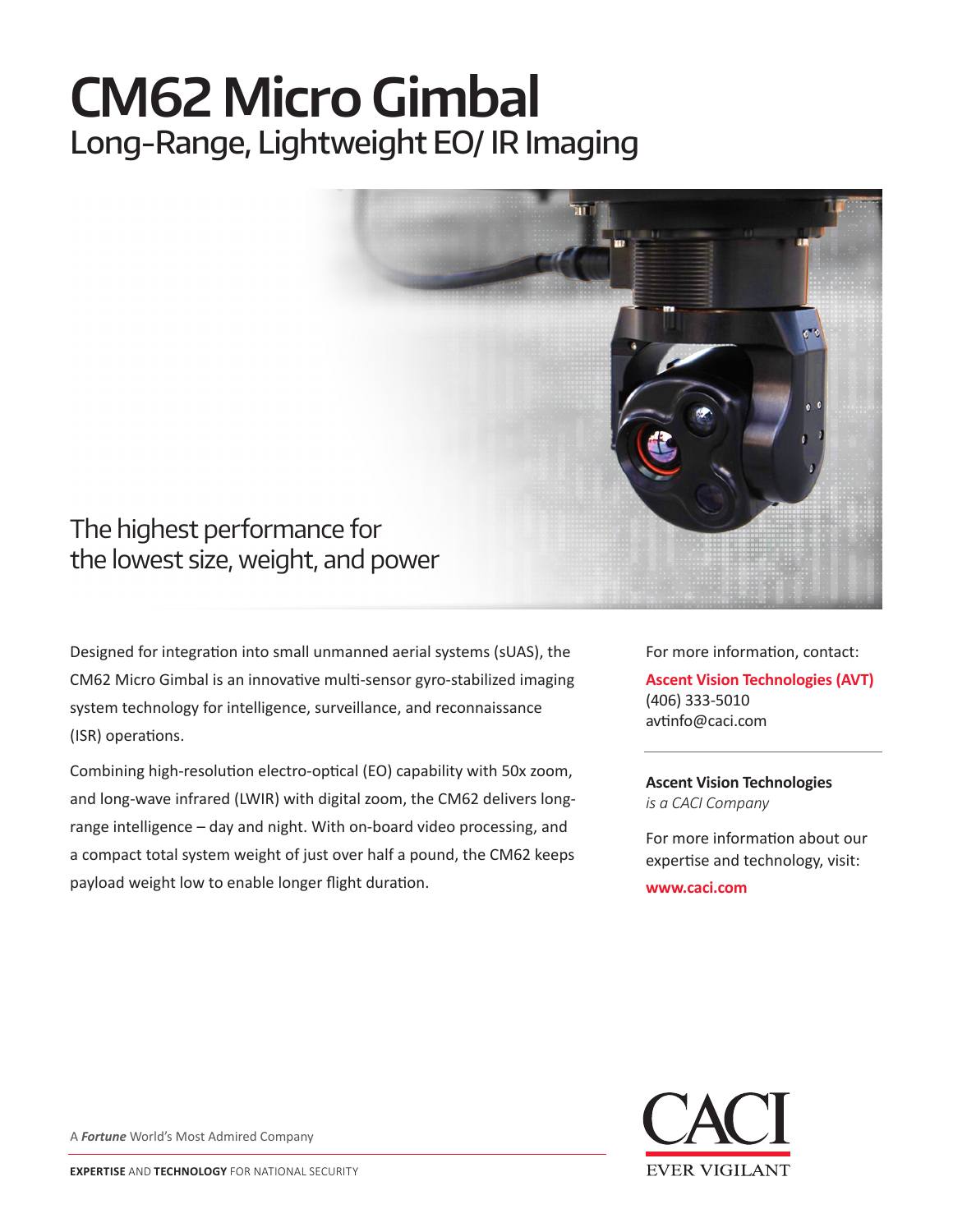## **CM62 Micro Gimbal** Long-Range, Lightweight EO/ IR Imaging



Designed for integration into small unmanned aerial systems (sUAS), the CM62 Micro Gimbal is an innovative multi-sensor gyro-stabilized imaging system technology for intelligence, surveillance, and reconnaissance

(ISR) operations.

Combining high-resolution electro-optical (EO) capability with 50x zoom, and long-wave infrared (LWIR) with digital zoom, the CM62 delivers longrange intelligence – day and night. With on-board video processing, and a compact total system weight of just over half a pound, the CM62 keeps payload weight low to enable longer flight duration.

For more information, contact:

**Ascent Vision Technologies (AVT)** (406) 333-5010 avtinfo@caci.com

**Ascent Vision Technologies** *is a CACI Company* 

For more information about our expertise and technology, visit:

**www.caci.com**



A *Fortune* World's Most Admired Company